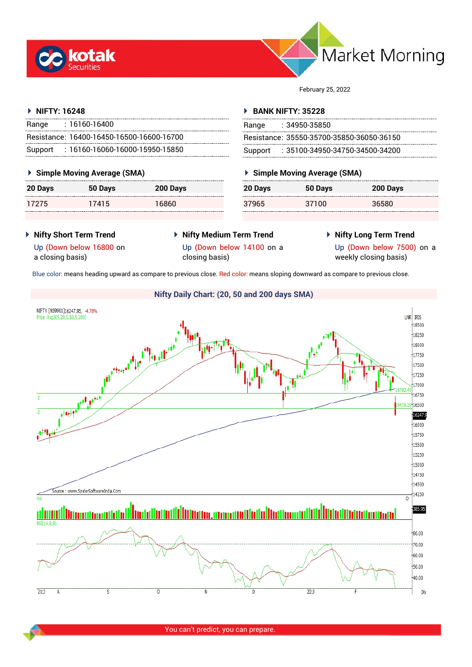



February 25, 2022

## **NIFTY: 16248**

| Range | : 16160-16400                             |
|-------|-------------------------------------------|
|       | Resistance: 16400-16450-16500-16600-16700 |
|       | Support: 16160-16060-16000-15950-15850    |

## **Simple Moving Average (SMA)**

| 20 Days | 50 Days | 200 Days |
|---------|---------|----------|
| 17275   | 17415   | 16860    |

## **BANK NIFTY: 35228**

| Range | $: 34950 - 35850$                         |
|-------|-------------------------------------------|
|       | Resistance: 35550-35700-35850-36050-36150 |
|       | Support : 35100-34950-34750-34500-34200   |

# **Simple Moving Average (SMA)**

| 20 Days | 50 Days | 200 Days |
|---------|---------|----------|
| 37965   | 37100   | 36580    |

- **Nifty Short Term Trend**
- **Nifty Medium Term Trend**
- **Nifty Long Term Trend**

Up (Down below 16800 on a closing basis)

- 
- 

Up (Down below 14100 on a closing basis)

Up (Down below 7500) on a

weekly closing basis)

Blue color: means heading upward as compare to previous close. Red color: means sloping downward as compare to previous close.

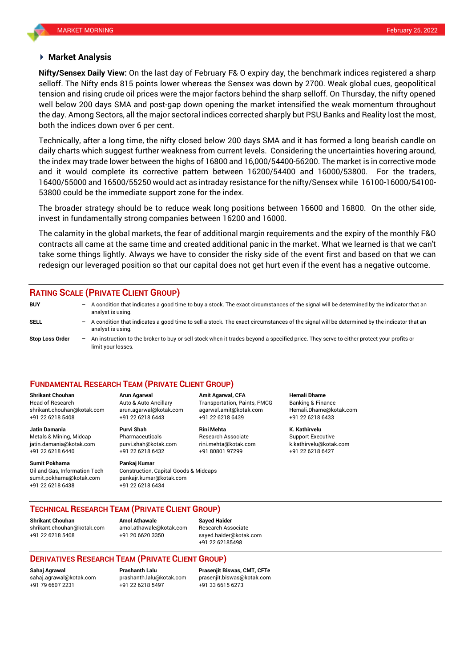## **Market Analysis**

selloff. The Nifty ends 815 points lower whereas the Sensex was down by 2700. Weak global cues, geopolitical **Nifty/Sensex Daily View:** On the last day of February F& O expiry day, the benchmark indices registered a sharp tension and rising crude oil prices were the major factors behind the sharp selloff. On Thursday, the nifty opened well below 200 days SMA and post-gap down opening the market intensified the weak momentum throughout the day. Among Sectors, all the major sectoral indices corrected sharply but PSU Banks and Reality lost the most, both the indices down over 6 per cent.

Technically, after a long time, the nifty closed below 200 days SMA and it has formed a long bearish candle on daily charts which suggest further weakness from current levels. Considering the uncertainties hovering around, the index may trade lower between the highs of 16800 and 16,000/54400-56200. The market is in corrective mode and it would complete its corrective pattern between 16200/54400 and 16000/53800. For the traders, 16400/55000 and 16500/55250 would act as intraday resistance for the nifty/Sensex while 16100-16000/54100- 53800 could be the immediate support zone for the index.

The broader strategy should be to reduce weak long positions between 16600 and 16800. On the other side, invest in fundamentally strong companies between 16200 and 16000.

The calamity in the global markets, the fear of additional margin requirements and the expiry of the monthly F&O contracts all came at the same time and created additional panic in the market. What we learned is that we can't take some things lightly. Always we have to consider the risky side of the event first and based on that we can redesign our leveraged position so that our capital does not get hurt even if the event has a negative outcome.

## **RATING SCALE (PRIVATE CLIENT GROUP)**

**BUY** – A condition that indicates a good time to buy a stock. The exact circumstances of the signal will be determined by the indicator that an analyst is using. **SELL** – A condition that indicates a good time to sell a stock. The exact circumstances of the signal will be determined by the indicator that an analyst is using. **Stop Loss Order** – An instruction to the broker to buy or sell stock when it trades beyond a specified price. They serve to either protect your profits or limit your losses.

## **FUNDAMENTAL RESEARCH TEAM (PRIVATE CLIENT GROUP)**

Head of Research Auto & Auto Ancillary Transportation, Paints, FMCG Banking & Finance [shrikant.chouhan@kotak.com](mailto:shrikant.chouhan@kotak.com) arun.agarwal@kotak.com agarwal.amit@kotak.com Hemali.Dhame@kotak.com

**Jatin Damania Purvi Shah Rini Mehta K. Kathirvelu** Metals & Mining, Midcap Pharmaceuticals Research Associate Support Executive jatin.damania@kotak.com [purvi.shah@kotak.com](mailto:purvi.shah@kotak.com) rini.mehta@kotak.com [k.kathirvelu@kotak.com](mailto:k.kathirvelu@kotak.com) +91 22 6218 6440 +91 22 6218 6432 +91 80801 97299 +91 22 6218 6427

**Sumit Pokharna** Pankaj Kumar

sumit.pokharna@kotak.com pankajr.kumar@kotak.com +91 22 6218 6438 +91 22 6218 6434

**Shrikant Chouhan Arun Agarwal Amit Agarwal, CFA Hemali Dhame** +91 22 6218 5408 +91 22 6218 6443 +91 22 6218 6439 +91 22 6218 6433

Oil and Gas, Information Tech Construction, Capital Goods & Midcaps

**TECHNICAL RESEARCH TEAM (PRIVATE CLIENT GROUP)**

**Shrikant Chouhan Amol Athawale Sayed Haider**

[shrikant.chouhan@kotak.com](mailto:shrikant.chouhan@kotak.com) [amol.athawale@kotak.com](mailto:amol.athawale@kotak.com) Research Associate +91 22 6218 5408 +91 20 6620 3350 [sayed.haider@kotak.com](mailto:sayed.haider@kotak.com)

+91 22 62185498

## **DERIVATIVES RESEARCH TEAM (PRIVATE CLIENT GROUP)**

+91 79 6607 2231 +91 22 6218 5497 +91 33 6615 6273

**Sahaj Agrawal Prashanth Lalu Prasenjit Biswas, CMT, CFTe** [sahaj.agrawal@kotak.com](mailto:sahaj.agrawal@kotak.com) [prashanth.lalu@kotak.com](mailto:prashanth.lalu@kotak.com) [prasenjit.biswas@kotak.com](mailto:prasenjit.biswas@kotak.com)